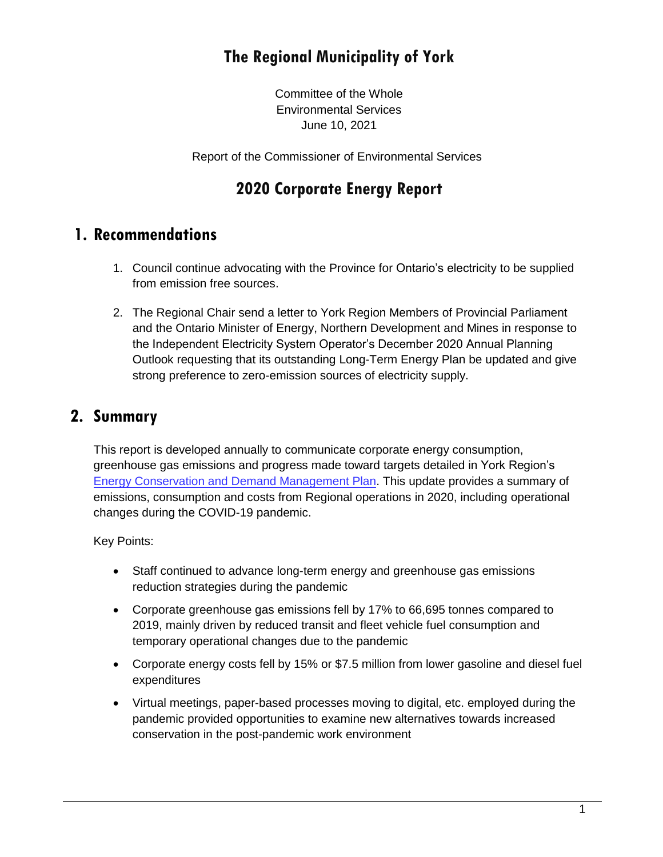# **The Regional Municipality of York**

Committee of the Whole Environmental Services June 10, 2021

Report of the Commissioner of Environmental Services

## **2020 Corporate Energy Report**

## **1. Recommendations**

- 1. Council continue advocating with the Province for Ontario's electricity to be supplied from emission free sources.
- 2. The Regional Chair send a letter to York Region Members of Provincial Parliament and the Ontario Minister of Energy, Northern Development and Mines in response to the Independent Electricity System Operator's December 2020 Annual Planning Outlook requesting that its outstanding Long-Term Energy Plan be updated and give strong preference to zero-emission sources of electricity supply.

## **2. Summary**

This report is developed annually to communicate corporate energy consumption, greenhouse gas emissions and progress made toward targets detailed in York Region's [Energy Conservation and Demand Management Plan.](https://www.york.ca/wps/wcm/connect/yorkpublic/21ce557a-2300-42cc-9d9d-3e4c91d518f7/2019EnergyConservationandDemandManagementPlan.pdf?MOD=AJPERES&CVID=mLVYyAj) This update provides a summary of emissions, consumption and costs from Regional operations in 2020, including operational changes during the COVID-19 pandemic.

Key Points:

- Staff continued to advance long-term energy and greenhouse gas emissions reduction strategies during the pandemic
- Corporate greenhouse gas emissions fell by 17% to 66,695 tonnes compared to 2019, mainly driven by reduced transit and fleet vehicle fuel consumption and temporary operational changes due to the pandemic
- Corporate energy costs fell by 15% or \$7.5 million from lower gasoline and diesel fuel expenditures
- Virtual meetings, paper-based processes moving to digital, etc. employed during the pandemic provided opportunities to examine new alternatives towards increased conservation in the post-pandemic work environment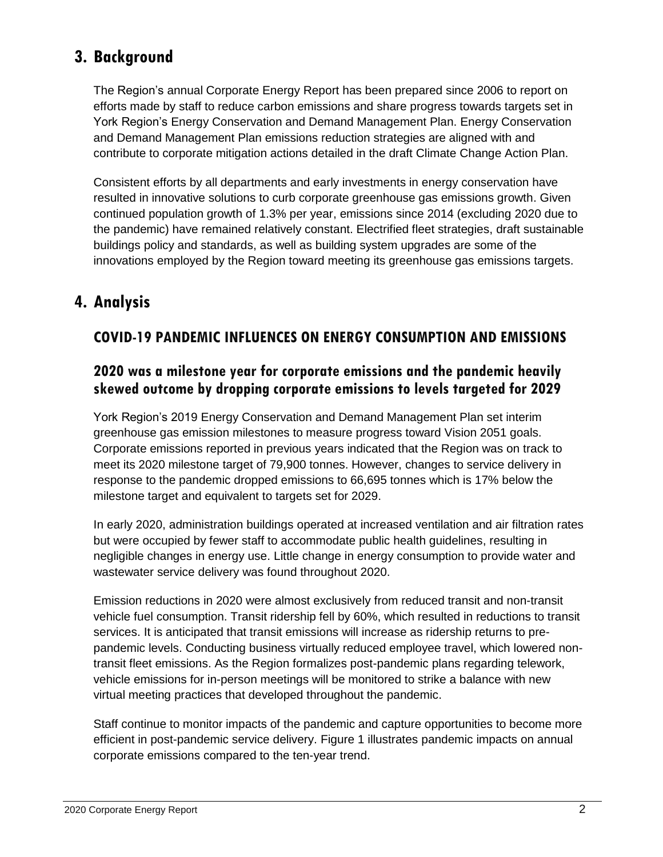# **3. Background**

The Region's annual Corporate Energy Report has been prepared since 2006 to report on efforts made by staff to reduce carbon emissions and share progress towards targets set in York Region's Energy Conservation and Demand Management Plan. Energy Conservation and Demand Management Plan emissions reduction strategies are aligned with and contribute to corporate mitigation actions detailed in the draft Climate Change Action Plan.

Consistent efforts by all departments and early investments in energy conservation have resulted in innovative solutions to curb corporate greenhouse gas emissions growth. Given continued population growth of 1.3% per year, emissions since 2014 (excluding 2020 due to the pandemic) have remained relatively constant. Electrified fleet strategies, draft sustainable buildings policy and standards, as well as building system upgrades are some of the innovations employed by the Region toward meeting its greenhouse gas emissions targets.

# **4. Analysis**

## **COVID-19 PANDEMIC INFLUENCES ON ENERGY CONSUMPTION AND EMISSIONS**

## **2020 was a milestone year for corporate emissions and the pandemic heavily skewed outcome by dropping corporate emissions to levels targeted for 2029**

York Region's 2019 Energy Conservation and Demand Management Plan set interim greenhouse gas emission milestones to measure progress toward Vision 2051 goals. Corporate emissions reported in previous years indicated that the Region was on track to meet its 2020 milestone target of 79,900 tonnes. However, changes to service delivery in response to the pandemic dropped emissions to 66,695 tonnes which is 17% below the milestone target and equivalent to targets set for 2029.

In early 2020, administration buildings operated at increased ventilation and air filtration rates but were occupied by fewer staff to accommodate public health guidelines, resulting in negligible changes in energy use. Little change in energy consumption to provide water and wastewater service delivery was found throughout 2020.

Emission reductions in 2020 were almost exclusively from reduced transit and non-transit vehicle fuel consumption. Transit ridership fell by 60%, which resulted in reductions to transit services. It is anticipated that transit emissions will increase as ridership returns to prepandemic levels. Conducting business virtually reduced employee travel, which lowered nontransit fleet emissions. As the Region formalizes post-pandemic plans regarding telework, vehicle emissions for in-person meetings will be monitored to strike a balance with new virtual meeting practices that developed throughout the pandemic.

Staff continue to monitor impacts of the pandemic and capture opportunities to become more efficient in post-pandemic service delivery. Figure 1 illustrates pandemic impacts on annual corporate emissions compared to the ten-year trend.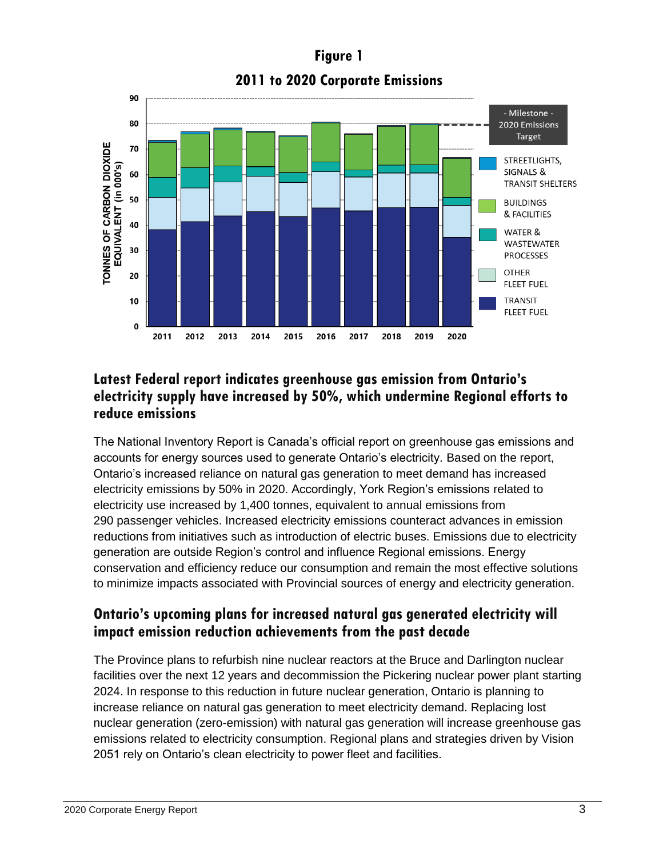**Figure 1 2011 to 2020 Corporate Emissions**



## **Latest Federal report indicates greenhouse gas emission from Ontario's electricity supply have increased by 50%, which undermine Regional efforts to reduce emissions**

The National Inventory Report is Canada's official report on greenhouse gas emissions and accounts for energy sources used to generate Ontario's electricity. Based on the report, Ontario's increased reliance on natural gas generation to meet demand has increased electricity emissions by 50% in 2020. Accordingly, York Region's emissions related to electricity use increased by 1,400 tonnes, equivalent to annual emissions from 290 passenger vehicles. Increased electricity emissions counteract advances in emission reductions from initiatives such as introduction of electric buses. Emissions due to electricity generation are outside Region's control and influence Regional emissions. Energy conservation and efficiency reduce our consumption and remain the most effective solutions to minimize impacts associated with Provincial sources of energy and electricity generation.

## **Ontario's upcoming plans for increased natural gas generated electricity will impact emission reduction achievements from the past decade**

The Province plans to refurbish nine nuclear reactors at the Bruce and Darlington nuclear facilities over the next 12 years and decommission the Pickering nuclear power plant starting 2024. In response to this reduction in future nuclear generation, Ontario is planning to increase reliance on natural gas generation to meet electricity demand. Replacing lost nuclear generation (zero-emission) with natural gas generation will increase greenhouse gas emissions related to electricity consumption. Regional plans and strategies driven by Vision 2051 rely on Ontario's clean electricity to power fleet and facilities.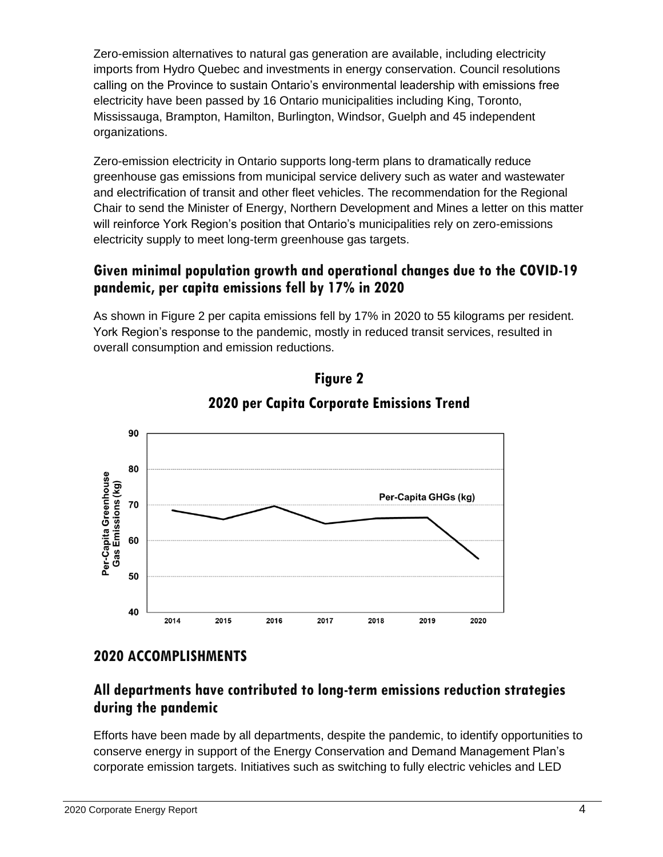Zero-emission alternatives to natural gas generation are available, including electricity imports from Hydro Quebec and investments in energy conservation. Council resolutions calling on the Province to sustain Ontario's environmental leadership with emissions free electricity have been passed by 16 Ontario municipalities including King, Toronto, Mississauga, Brampton, Hamilton, Burlington, Windsor, Guelph and 45 independent organizations.

Zero-emission electricity in Ontario supports long-term plans to dramatically reduce greenhouse gas emissions from municipal service delivery such as water and wastewater and electrification of transit and other fleet vehicles. The recommendation for the Regional Chair to send the Minister of Energy, Northern Development and Mines a letter on this matter will reinforce York Region's position that Ontario's municipalities rely on zero-emissions electricity supply to meet long-term greenhouse gas targets.

## **Given minimal population growth and operational changes due to the COVID-19 pandemic, per capita emissions fell by 17% in 2020**

As shown in Figure 2 per capita emissions fell by 17% in 2020 to 55 kilograms per resident. York Region's response to the pandemic, mostly in reduced transit services, resulted in overall consumption and emission reductions.





## **2020 ACCOMPLISHMENTS**

## **All departments have contributed to long-term emissions reduction strategies during the pandemic**

Efforts have been made by all departments, despite the pandemic, to identify opportunities to conserve energy in support of the Energy Conservation and Demand Management Plan's corporate emission targets. Initiatives such as switching to fully electric vehicles and LED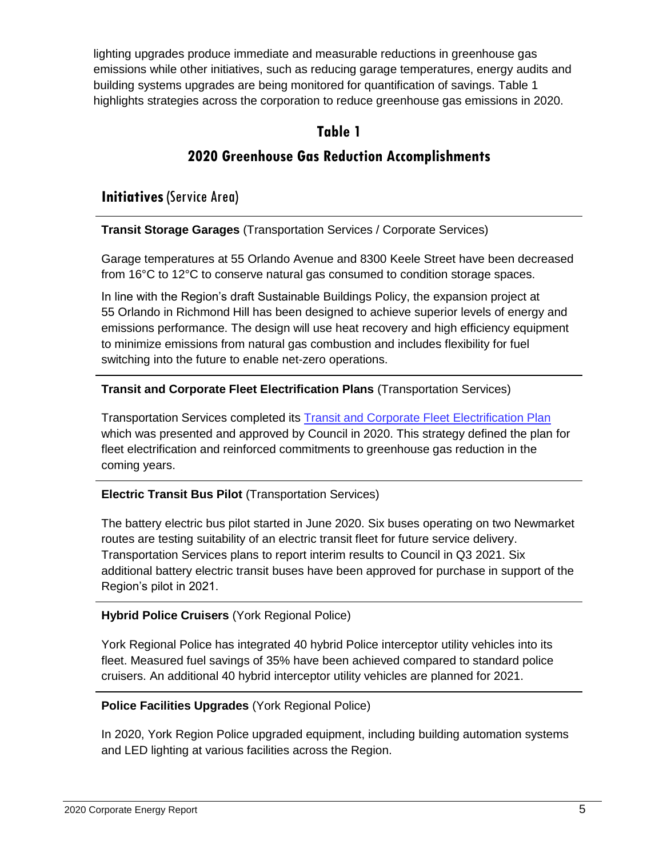lighting upgrades produce immediate and measurable reductions in greenhouse gas emissions while other initiatives, such as reducing garage temperatures, energy audits and building systems upgrades are being monitored for quantification of savings. Table 1 highlights strategies across the corporation to reduce greenhouse gas emissions in 2020.

### **Table 1**

## **2020 Greenhouse Gas Reduction Accomplishments**

**Initiatives** (Service Area)

**Transit Storage Garages** (Transportation Services / Corporate Services)

Garage temperatures at 55 Orlando Avenue and 8300 Keele Street have been decreased from 16°C to 12°C to conserve natural gas consumed to condition storage spaces.

In line with the Region's draft Sustainable Buildings Policy, the expansion project at 55 Orlando in Richmond Hill has been designed to achieve superior levels of energy and emissions performance. The design will use heat recovery and high efficiency equipment to minimize emissions from natural gas combustion and includes flexibility for fuel switching into the future to enable net-zero operations.

#### **Transit and Corporate Fleet Electrification Plans** (Transportation Services)

Transportation Services completed its [Transit and Corporate Fleet Electrification Plan](https://yorkpublishing.escribemeetings.com/filestream.ashx?DocumentId=17325) which was presented and approved by Council in 2020. This strategy defined the plan for fleet electrification and reinforced commitments to greenhouse gas reduction in the coming years.

### **Electric Transit Bus Pilot** (Transportation Services)

The battery electric bus pilot started in June 2020. Six buses operating on two Newmarket routes are testing suitability of an electric transit fleet for future service delivery. Transportation Services plans to report interim results to Council in Q3 2021. Six additional battery electric transit buses have been approved for purchase in support of the Region's pilot in 2021.

#### **Hybrid Police Cruisers** (York Regional Police)

York Regional Police has integrated 40 hybrid Police interceptor utility vehicles into its fleet. Measured fuel savings of 35% have been achieved compared to standard police cruisers. An additional 40 hybrid interceptor utility vehicles are planned for 2021.

### **Police Facilities Upgrades** (York Regional Police)

In 2020, York Region Police upgraded equipment, including building automation systems and LED lighting at various facilities across the Region.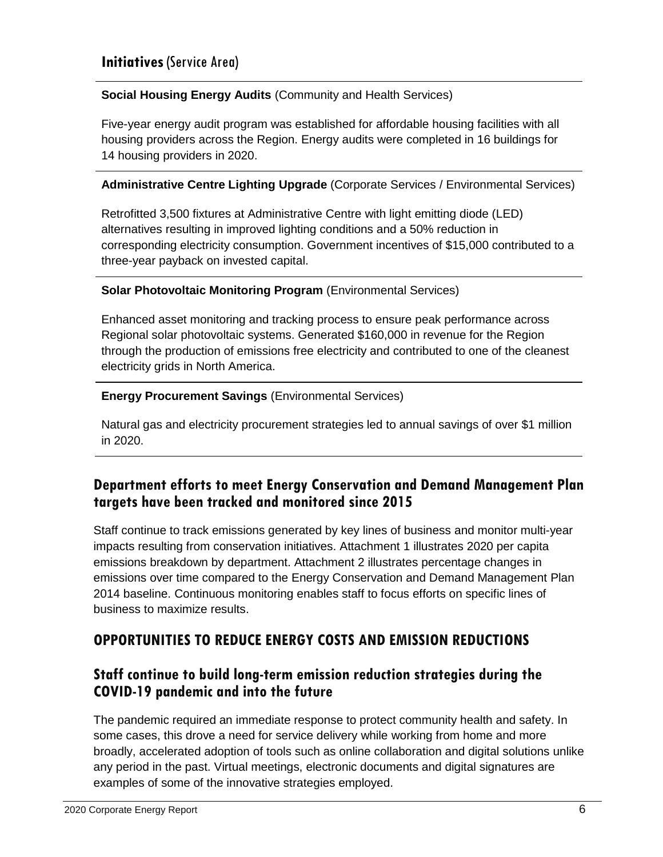#### **Social Housing Energy Audits** (Community and Health Services)

Five-year energy audit program was established for affordable housing facilities with all housing providers across the Region. Energy audits were completed in 16 buildings for 14 housing providers in 2020.

#### **Administrative Centre Lighting Upgrade** (Corporate Services / Environmental Services)

Retrofitted 3,500 fixtures at Administrative Centre with light emitting diode (LED) alternatives resulting in improved lighting conditions and a 50% reduction in corresponding electricity consumption. Government incentives of \$15,000 contributed to a three-year payback on invested capital.

#### **Solar Photovoltaic Monitoring Program** (Environmental Services)

Enhanced asset monitoring and tracking process to ensure peak performance across Regional solar photovoltaic systems. Generated \$160,000 in revenue for the Region through the production of emissions free electricity and contributed to one of the cleanest electricity grids in North America.

#### **Energy Procurement Savings** (Environmental Services)

Natural gas and electricity procurement strategies led to annual savings of over \$1 million in 2020.

## **Department efforts to meet Energy Conservation and Demand Management Plan targets have been tracked and monitored since 2015**

Staff continue to track emissions generated by key lines of business and monitor multi-year impacts resulting from conservation initiatives. Attachment 1 illustrates 2020 per capita emissions breakdown by department. Attachment 2 illustrates percentage changes in emissions over time compared to the Energy Conservation and Demand Management Plan 2014 baseline. Continuous monitoring enables staff to focus efforts on specific lines of business to maximize results.

### **OPPORTUNITIES TO REDUCE ENERGY COSTS AND EMISSION REDUCTIONS**

### **Staff continue to build long-term emission reduction strategies during the COVID-19 pandemic and into the future**

The pandemic required an immediate response to protect community health and safety. In some cases, this drove a need for service delivery while working from home and more broadly, accelerated adoption of tools such as online collaboration and digital solutions unlike any period in the past. Virtual meetings, electronic documents and digital signatures are examples of some of the innovative strategies employed.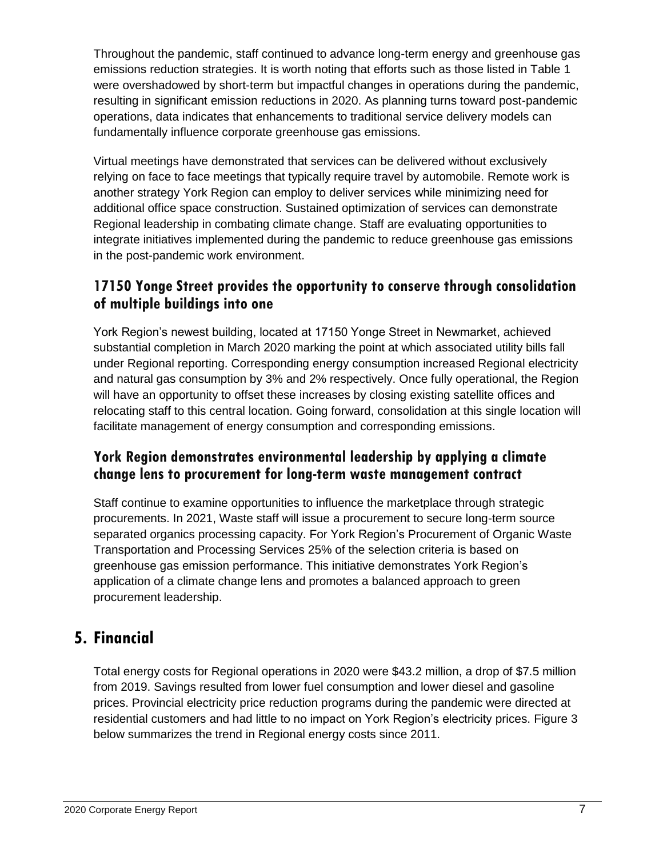Throughout the pandemic, staff continued to advance long-term energy and greenhouse gas emissions reduction strategies. It is worth noting that efforts such as those listed in Table 1 were overshadowed by short-term but impactful changes in operations during the pandemic, resulting in significant emission reductions in 2020. As planning turns toward post-pandemic operations, data indicates that enhancements to traditional service delivery models can fundamentally influence corporate greenhouse gas emissions.

Virtual meetings have demonstrated that services can be delivered without exclusively relying on face to face meetings that typically require travel by automobile. Remote work is another strategy York Region can employ to deliver services while minimizing need for additional office space construction. Sustained optimization of services can demonstrate Regional leadership in combating climate change. Staff are evaluating opportunities to integrate initiatives implemented during the pandemic to reduce greenhouse gas emissions in the post-pandemic work environment.

## **17150 Yonge Street provides the opportunity to conserve through consolidation of multiple buildings into one**

York Region's newest building, located at 17150 Yonge Street in Newmarket, achieved substantial completion in March 2020 marking the point at which associated utility bills fall under Regional reporting. Corresponding energy consumption increased Regional electricity and natural gas consumption by 3% and 2% respectively. Once fully operational, the Region will have an opportunity to offset these increases by closing existing satellite offices and relocating staff to this central location. Going forward, consolidation at this single location will facilitate management of energy consumption and corresponding emissions.

## **York Region demonstrates environmental leadership by applying a climate change lens to procurement for long-term waste management contract**

Staff continue to examine opportunities to influence the marketplace through strategic procurements. In 2021, Waste staff will issue a procurement to secure long-term source separated organics processing capacity. For York Region's Procurement of Organic Waste Transportation and Processing Services 25% of the selection criteria is based on greenhouse gas emission performance. This initiative demonstrates York Region's application of a climate change lens and promotes a balanced approach to green procurement leadership.

## **5. Financial**

Total energy costs for Regional operations in 2020 were \$43.2 million, a drop of \$7.5 million from 2019. Savings resulted from lower fuel consumption and lower diesel and gasoline prices. Provincial electricity price reduction programs during the pandemic were directed at residential customers and had little to no impact on York Region's electricity prices. Figure 3 below summarizes the trend in Regional energy costs since 2011.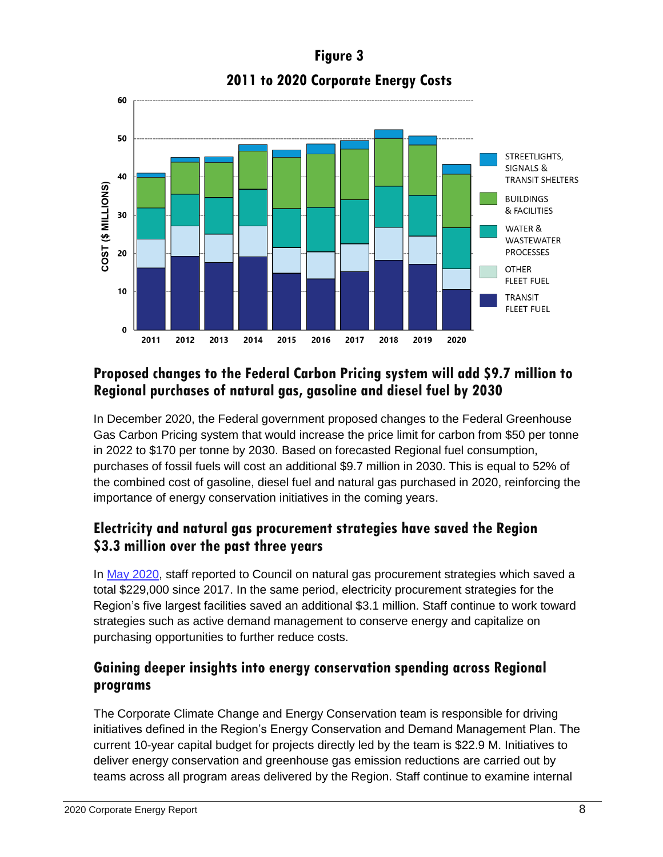# **Figure 3 2011 to 2020 Corporate Energy Costs**



## **Proposed changes to the Federal Carbon Pricing system will add \$9.7 million to Regional purchases of natural gas, gasoline and diesel fuel by 2030**

In December 2020, the Federal government proposed changes to the Federal Greenhouse Gas Carbon Pricing system that would increase the price limit for carbon from \$50 per tonne in 2022 to \$170 per tonne by 2030. Based on forecasted Regional fuel consumption, purchases of fossil fuels will cost an additional \$9.7 million in 2030. This is equal to 52% of the combined cost of gasoline, diesel fuel and natural gas purchased in 2020, reinforcing the importance of energy conservation initiatives in the coming years.

## **Electricity and natural gas procurement strategies have saved the Region \$3.3 million over the past three years**

In [May 2020,](https://yorkpublishing.escribemeetings.com/Meeting.aspx?Id=ca3933b0-e8db-4e2f-b502-efee94b6f121&Agenda=Merged&lang=English&Item=39&Tab=attachments) staff reported to Council on natural gas procurement strategies which saved a total \$229,000 since 2017. In the same period, electricity procurement strategies for the Region's five largest facilities saved an additional \$3.1 million. Staff continue to work toward strategies such as active demand management to conserve energy and capitalize on purchasing opportunities to further reduce costs.

## **Gaining deeper insights into energy conservation spending across Regional programs**

The Corporate Climate Change and Energy Conservation team is responsible for driving initiatives defined in the Region's Energy Conservation and Demand Management Plan. The current 10-year capital budget for projects directly led by the team is \$22.9 M. Initiatives to deliver energy conservation and greenhouse gas emission reductions are carried out by teams across all program areas delivered by the Region. Staff continue to examine internal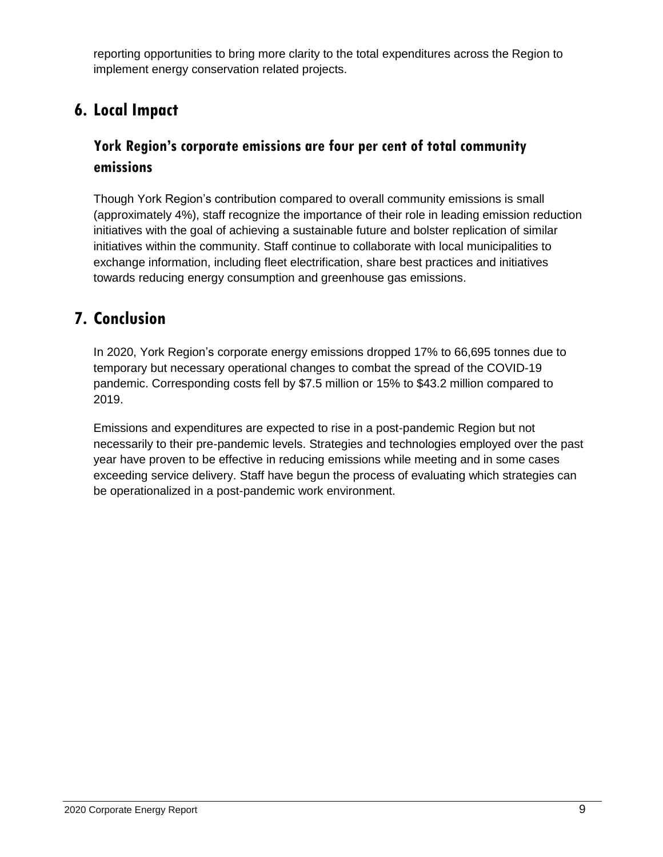reporting opportunities to bring more clarity to the total expenditures across the Region to implement energy conservation related projects.

# **6. Local Impact**

## **York Region's corporate emissions are four per cent of total community emissions**

Though York Region's contribution compared to overall community emissions is small (approximately 4%), staff recognize the importance of their role in leading emission reduction initiatives with the goal of achieving a sustainable future and bolster replication of similar initiatives within the community. Staff continue to collaborate with local municipalities to exchange information, including fleet electrification, share best practices and initiatives towards reducing energy consumption and greenhouse gas emissions.

## **7. Conclusion**

In 2020, York Region's corporate energy emissions dropped 17% to 66,695 tonnes due to temporary but necessary operational changes to combat the spread of the COVID-19 pandemic. Corresponding costs fell by \$7.5 million or 15% to \$43.2 million compared to 2019.

Emissions and expenditures are expected to rise in a post-pandemic Region but not necessarily to their pre-pandemic levels. Strategies and technologies employed over the past year have proven to be effective in reducing emissions while meeting and in some cases exceeding service delivery. Staff have begun the process of evaluating which strategies can be operationalized in a post-pandemic work environment.